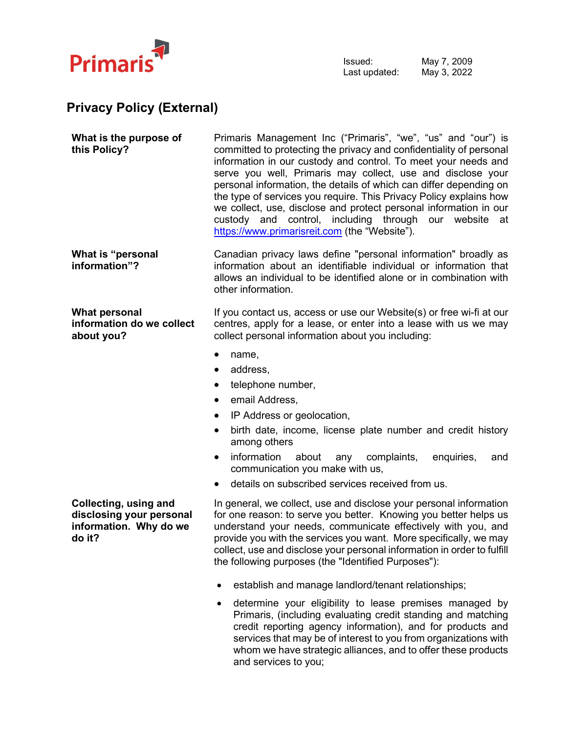

## **Privacy Policy (External)**

| What is the purpose of<br>this Policy?                                                | Primaris Management Inc ("Primaris", "we", "us" and "our") is<br>committed to protecting the privacy and confidentiality of personal<br>information in our custody and control. To meet your needs and<br>serve you well, Primaris may collect, use and disclose your<br>personal information, the details of which can differ depending on<br>the type of services you require. This Privacy Policy explains how<br>we collect, use, disclose and protect personal information in our<br>custody and control, including through our website<br>at<br>https://www.primarisreit.com (the "Website"). |
|---------------------------------------------------------------------------------------|-----------------------------------------------------------------------------------------------------------------------------------------------------------------------------------------------------------------------------------------------------------------------------------------------------------------------------------------------------------------------------------------------------------------------------------------------------------------------------------------------------------------------------------------------------------------------------------------------------|
| What is "personal<br>information"?                                                    | Canadian privacy laws define "personal information" broadly as<br>information about an identifiable individual or information that<br>allows an individual to be identified alone or in combination with<br>other information.                                                                                                                                                                                                                                                                                                                                                                      |
| What personal<br>information do we collect<br>about you?                              | If you contact us, access or use our Website(s) or free wi-fi at our<br>centres, apply for a lease, or enter into a lease with us we may<br>collect personal information about you including:                                                                                                                                                                                                                                                                                                                                                                                                       |
|                                                                                       | name,<br>address,<br>telephone number,<br>$\bullet$<br>email Address,<br>IP Address or geolocation,<br>birth date, income, license plate number and credit history<br>among others<br>information<br>about<br>complaints,<br>enquiries,<br>any<br>and<br>$\bullet$<br>communication you make with us,<br>details on subscribed services received from us.                                                                                                                                                                                                                                           |
| Collecting, using and<br>disclosing your personal<br>information. Why do we<br>do it? | In general, we collect, use and disclose your personal information<br>for one reason: to serve you better. Knowing you better helps us<br>understand your needs, communicate effectively with you, and<br>provide you with the services you want. More specifically, we may<br>collect, use and disclose your personal information in order to fulfill<br>the following purposes (the "Identified Purposes"):                                                                                                                                                                                       |
|                                                                                       | establish and manage landlord/tenant relationships;<br>$\bullet$<br>determine your eligibility to lease premises managed by                                                                                                                                                                                                                                                                                                                                                                                                                                                                         |

letermine your eligibility to lease premises managed by Primaris, (including evaluating credit standing and matching credit reporting agency information), and for products and services that may be of interest to you from organizations with whom we have strategic alliances, and to offer these products and services to you;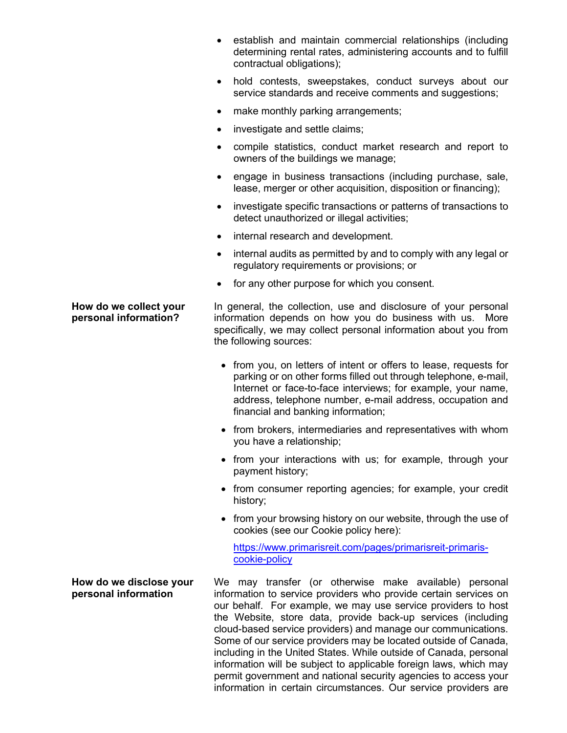- establish and maintain commercial relationships (including determining rental rates, administering accounts and to fulfill contractual obligations);
- hold contests, sweepstakes, conduct surveys about our service standards and receive comments and suggestions;
- make monthly parking arrangements;
- investigate and settle claims;
- compile statistics, conduct market research and report to owners of the buildings we manage;
- engage in business transactions (including purchase, sale, lease, merger or other acquisition, disposition or financing);
- investigate specific transactions or patterns of transactions to detect unauthorized or illegal activities;
- internal research and development.
- internal audits as permitted by and to comply with any legal or regulatory requirements or provisions; or
- for any other purpose for which you consent.

In general, the collection, use and disclosure of your personal information depends on how you do business with us. More specifically, we may collect personal information about you from the following sources:

- from you, on letters of intent or offers to lease, requests for parking or on other forms filled out through telephone, e-mail, Internet or face-to-face interviews; for example, your name, address, telephone number, e-mail address, occupation and financial and banking information;
- from brokers, intermediaries and representatives with whom you have a relationship;
- from your interactions with us; for example, through your payment history;
- from consumer reporting agencies; for example, your credit history;
- from your browsing history on our website, through the use of cookies (see our Cookie policy here):

[https://www.primarisreit.com/pages/primarisreit-primaris](https://www.primarisreit.com/pages/primarisreit-primaris-cookie-policy)[cookie-policy](https://www.primarisreit.com/pages/primarisreit-primaris-cookie-policy) 

We may transfer (or otherwise make available) personal information to service providers who provide certain services on our behalf. For example, we may use service providers to host the Website, store data, provide back-up services (including cloud-based service providers) and manage our communications. Some of our service providers may be located outside of Canada, including in the United States. While outside of Canada, personal information will be subject to applicable foreign laws, which may permit government and national security agencies to access your information in certain circumstances. Our service providers are

## **How do we collect your personal information?**

## **How do we disclose your personal information**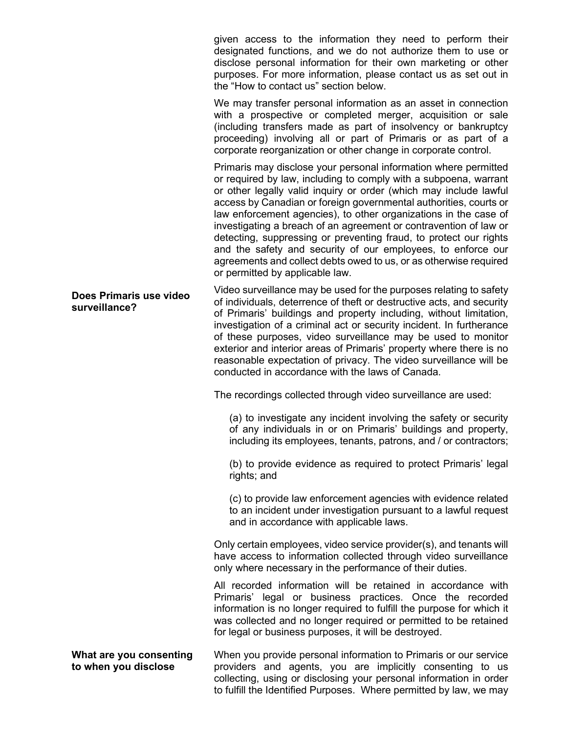given access to the information they need to perform their designated functions, and we do not authorize them to use or disclose personal information for their own marketing or other purposes. For more information, please contact us as set out in the "How to contact us" section below.

We may transfer personal information as an asset in connection with a prospective or completed merger, acquisition or sale (including transfers made as part of insolvency or bankruptcy proceeding) involving all or part of Primaris or as part of a corporate reorganization or other change in corporate control.

Primaris may disclose your personal information where permitted or required by law, including to comply with a subpoena, warrant or other legally valid inquiry or order (which may include lawful access by Canadian or foreign governmental authorities, courts or law enforcement agencies), to other organizations in the case of investigating a breach of an agreement or contravention of law or detecting, suppressing or preventing fraud, to protect our rights and the safety and security of our employees, to enforce our agreements and collect debts owed to us, or as otherwise required or permitted by applicable law.

Video surveillance may be used for the purposes relating to safety of individuals, deterrence of theft or destructive acts, and security of Primaris' buildings and property including, without limitation, investigation of a criminal act or security incident. In furtherance of these purposes, video surveillance may be used to monitor exterior and interior areas of Primaris' property where there is no reasonable expectation of privacy. The video surveillance will be conducted in accordance with the laws of Canada.

The recordings collected through video surveillance are used:

(a) to investigate any incident involving the safety or security of any individuals in or on Primaris' buildings and property, including its employees, tenants, patrons, and / or contractors;

(b) to provide evidence as required to protect Primaris' legal rights; and

(c) to provide law enforcement agencies with evidence related to an incident under investigation pursuant to a lawful request and in accordance with applicable laws.

Only certain employees, video service provider(s), and tenants will have access to information collected through video surveillance only where necessary in the performance of their duties.

All recorded information will be retained in accordance with Primaris' legal or business practices. Once the recorded information is no longer required to fulfill the purpose for which it was collected and no longer required or permitted to be retained for legal or business purposes, it will be destroyed.

**What are you consenting to when you disclose**  When you provide personal information to Primaris or our service providers and agents, you are implicitly consenting to us collecting, using or disclosing your personal information in order to fulfill the Identified Purposes. Where permitted by law, we may

**Does Primaris use video surveillance?**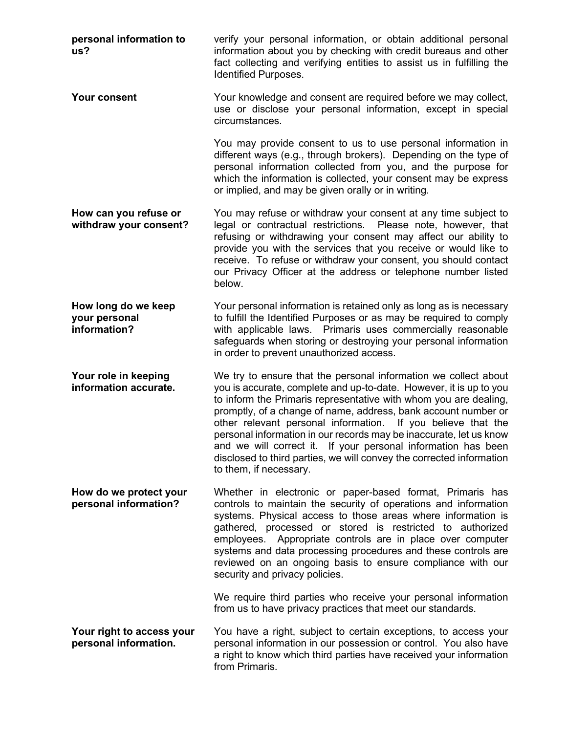**personal information to us?** verify your personal information, or obtain additional personal information about you by checking with credit bureaus and other fact collecting and verifying entities to assist us in fulfilling the Identified Purposes. **Your consent** Your knowledge and consent are required before we may collect, use or disclose your personal information, except in special circumstances. You may provide consent to us to use personal information in different ways (e.g., through brokers). Depending on the type of personal information collected from you, and the purpose for which the information is collected, your consent may be express or implied, and may be given orally or in writing. **How can you refuse or withdraw your consent?** You may refuse or withdraw your consent at any time subject to legal or contractual restrictions. Please note, however, that refusing or withdrawing your consent may affect our ability to provide you with the services that you receive or would like to receive. To refuse or withdraw your consent, you should contact our Privacy Officer at the address or telephone number listed below. **How long do we keep your personal information?** Your personal information is retained only as long as is necessary to fulfill the Identified Purposes or as may be required to comply with applicable laws. Primaris uses commercially reasonable safeguards when storing or destroying your personal information in order to prevent unauthorized access. **Your role in keeping information accurate.** We try to ensure that the personal information we collect about you is accurate, complete and up-to-date. However, it is up to you to inform the Primaris representative with whom you are dealing, promptly, of a change of name, address, bank account number or other relevant personal information. If you believe that the personal information in our records may be inaccurate, let us know and we will correct it. If your personal information has been disclosed to third parties, we will convey the corrected information to them, if necessary. **How do we protect your personal information?** Whether in electronic or paper-based format, Primaris has controls to maintain the security of operations and information systems. Physical access to those areas where information is gathered, processed or stored is restricted to authorized employees. Appropriate controls are in place over computer systems and data processing procedures and these controls are reviewed on an ongoing basis to ensure compliance with our security and privacy policies. We require third parties who receive your personal information from us to have privacy practices that meet our standards. **Your right to access your personal information.** You have a right, subject to certain exceptions, to access your personal information in our possession or control. You also have a right to know which third parties have received your information from Primaris.